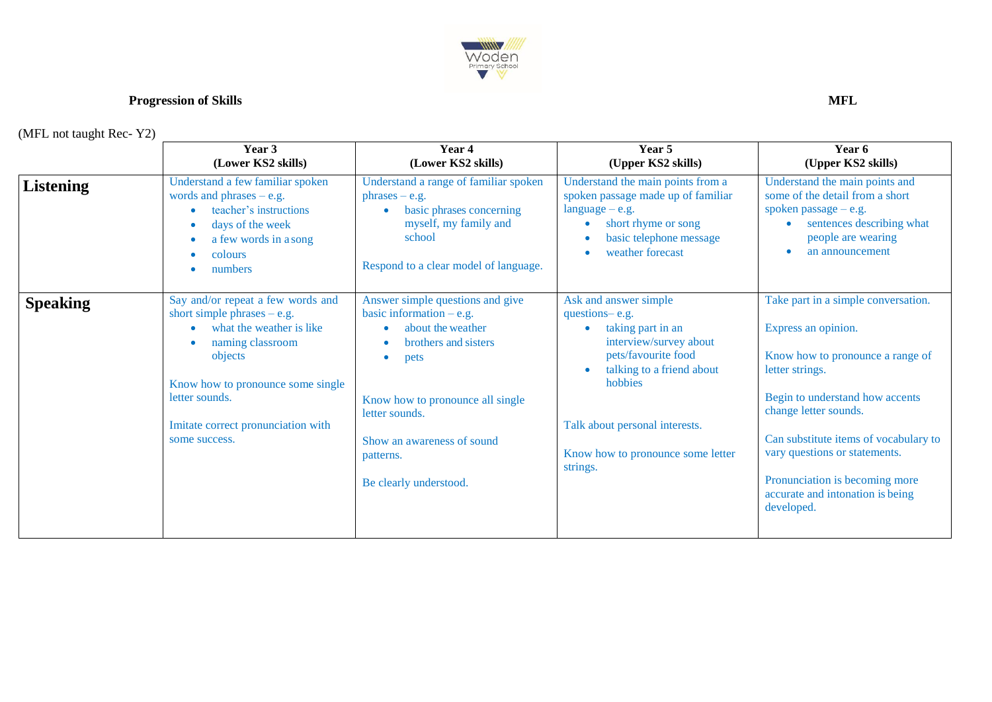

## **Progression of Skills** MFL

(MFL not taught Rec- Y2)

|                  | Year 3<br>(Lower KS2 skills)                                                                                                                                                                                                                | Year 4<br>(Lower KS2 skills)                                                                                                                                                                                                                  | Year 5<br>(Upper KS2 skills)                                                                                                                                                                                                             | Year 6<br>(Upper KS2 skills)                                                                                                                                                                                                                                                                                                                |
|------------------|---------------------------------------------------------------------------------------------------------------------------------------------------------------------------------------------------------------------------------------------|-----------------------------------------------------------------------------------------------------------------------------------------------------------------------------------------------------------------------------------------------|------------------------------------------------------------------------------------------------------------------------------------------------------------------------------------------------------------------------------------------|---------------------------------------------------------------------------------------------------------------------------------------------------------------------------------------------------------------------------------------------------------------------------------------------------------------------------------------------|
| <b>Listening</b> | Understand a few familiar spoken<br>words and phrases $-$ e.g.<br>teacher's instructions<br>days of the week<br>a few words in a song<br>colours<br>numbers                                                                                 | Understand a range of familiar spoken<br>$phrases - e.g.$<br>basic phrases concerning<br>myself, my family and<br>school<br>Respond to a clear model of language.                                                                             | Understand the main points from a<br>spoken passage made up of familiar<br>$language - e.g.$<br>short rhyme or song<br>basic telephone message<br>weather forecast                                                                       | Understand the main points and<br>some of the detail from a short<br>spoken passage $-$ e.g.<br>sentences describing what<br>people are wearing<br>an announcement                                                                                                                                                                          |
| <b>Speaking</b>  | Say and/or repeat a few words and<br>short simple phrases $-$ e.g.<br>what the weather is like<br>naming classroom<br>objects<br>Know how to pronounce some single<br>letter sounds.<br>Imitate correct pronunciation with<br>some success. | Answer simple questions and give<br>basic information $-e.g.$<br>about the weather<br>brothers and sisters<br>pets<br>Know how to pronounce all single<br>letter sounds.<br>Show an awareness of sound<br>patterns.<br>Be clearly understood. | Ask and answer simple<br>questions-e.g.<br>taking part in an<br>interview/survey about<br>pets/favourite food<br>talking to a friend about<br>hobbies<br>Talk about personal interests.<br>Know how to pronounce some letter<br>strings. | Take part in a simple conversation.<br>Express an opinion.<br>Know how to pronounce a range of<br>letter strings.<br>Begin to understand how accents<br>change letter sounds.<br>Can substitute items of vocabulary to<br>vary questions or statements.<br>Pronunciation is becoming more<br>accurate and intonation is being<br>developed. |